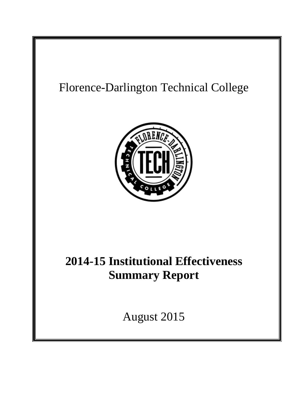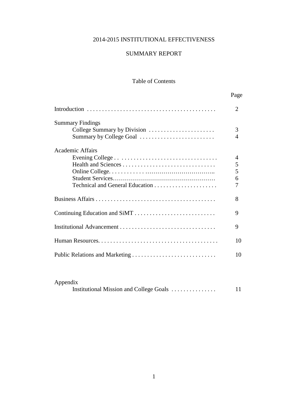# 2014-2015 INSTITUTIONAL EFFECTIVENESS

### SUMMARY REPORT

# Table of Contents

|                               | Page           |
|-------------------------------|----------------|
|                               | 2              |
| <b>Summary Findings</b>       |                |
| College Summary by Division   | 3              |
| Summary by College Goal       | $\overline{4}$ |
| <b>Academic Affairs</b>       |                |
|                               | 4              |
|                               | 5              |
|                               | 5              |
|                               | 6              |
|                               |                |
|                               | 8              |
| Continuing Education and SiMT | 9              |
|                               | 9              |
|                               | 10             |
|                               | 10             |
|                               |                |

| Appendix                                |  |
|-----------------------------------------|--|
| Institutional Mission and College Goals |  |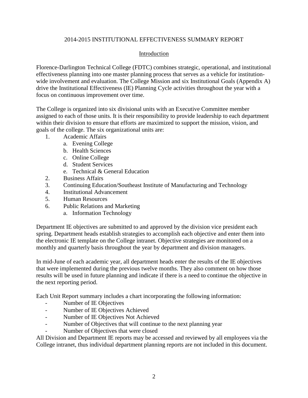#### 2014-2015 INSTITUTIONAL EFFECTIVENESS SUMMARY REPORT

### Introduction

Florence-Darlington Technical College (FDTC) combines strategic, operational, and institutional effectiveness planning into one master planning process that serves as a vehicle for institutionwide involvement and evaluation. The College Mission and six Institutional Goals (Appendix A) drive the Institutional Effectiveness (IE) Planning Cycle activities throughout the year with a focus on continuous improvement over time.

The College is organized into six divisional units with an Executive Committee member assigned to each of those units. It is their responsibility to provide leadership to each department within their division to ensure that efforts are maximized to support the mission, vision, and goals of the college. The six organizational units are:

- 1. Academic Affairs
	- a. Evening College
	- b. Health Sciences
	- c. Online College
	- d. Student Services
	- e. Technical & General Education
- 2. Business Affairs
- 3. Continuing Education/Southeast Institute of Manufacturing and Technology
- 4. Institutional Advancement
- 5. Human Resources
- 6. Public Relations and Marketing
	- a. Information Technology

Department IE objectives are submitted to and approved by the division vice president each spring. Department heads establish strategies to accomplish each objective and enter them into the electronic IE template on the College intranet. Objective strategies are monitored on a monthly and quarterly basis throughout the year by department and division managers.

In mid-June of each academic year, all department heads enter the results of the IE objectives that were implemented during the previous twelve months. They also comment on how those results will be used in future planning and indicate if there is a need to continue the objective in the next reporting period.

Each Unit Report summary includes a chart incorporating the following information:

- Number of IE Objectives
- Number of IE Objectives Achieved
- Number of IE Objectives Not Achieved
- Number of Objectives that will continue to the next planning year
- Number of Objectives that were closed

All Division and Department IE reports may be accessed and reviewed by all employees via the College intranet, thus individual department planning reports are not included in this document.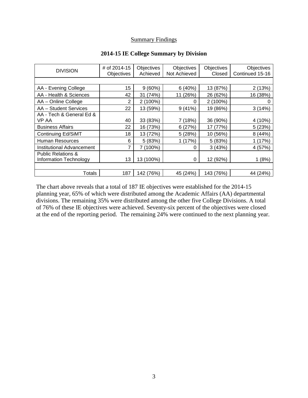### **Summary Findings**

| <b>DIVISION</b>                  | # of 2014-15<br>Objectives | Objectives<br>Achieved | Objectives<br>Not Achieved | Objectives<br>Closed | Objectives<br>Continued 15-16 |
|----------------------------------|----------------------------|------------------------|----------------------------|----------------------|-------------------------------|
|                                  |                            |                        |                            |                      |                               |
| AA - Evening College             | 15                         | $9(60\%)$              | 6(40%)                     | 13 (87%)             | 2(13%)                        |
| AA - Health & Sciences           | 42                         | 31 (74%)               | 11 (26%)                   | 26 (62%)             | 16 (38%)                      |
| AA - Online College              | 2                          | $2(100\%)$             | 0                          | 2 (100%)             | O                             |
| AA - Student Services            | 22                         | 13 (59%)               | 9(41%)                     | 19 (86%)             | 3(14%)                        |
| AA - Tech & General Ed &         |                            |                        |                            |                      |                               |
| VP AA                            | 40                         | 33 (83%)               | 7(18%)                     | 36 (90%)             | 4 (10%)                       |
| <b>Business Affairs</b>          | 22                         | 16 (73%)               | 6(27%)                     | 17 (77%)             | 5(23%)                        |
| <b>Continuing Ed/SiMT</b>        | 18                         | 13 (72%)               | 5(28%)                     | 10 (56%)             | 8(44%)                        |
| <b>Human Resources</b>           | 6                          | 5 (83%)                | 1(17%)                     | 5 (83%)              | 1 (17%)                       |
| <b>Institutional Advancement</b> | 7                          | 7 (100%)               | 0                          | 3(43%)               | 4 (57%)                       |
| <b>Public Relations &amp;</b>    |                            |                        |                            |                      |                               |
| <b>Information Technology</b>    | 13                         | 13 (100%)              | 0                          | 12 (92%)             | (8%)                          |
|                                  |                            |                        |                            |                      |                               |
| Totals                           | 187                        | 142 (76%)              | 45 (24%)                   | 143 (76%)            | 44 (24%)                      |

#### **2014-15 IE College Summary by Division**

The chart above reveals that a total of 187 IE objectives were established for the 2014-15 planning year, 65% of which were distributed among the Academic Affairs (AA) departmental divisions. The remaining 35% were distributed among the other five College Divisions. A total of 76% of these IE objectives were achieved. Seventy-six percent of the objectives were closed at the end of the reporting period. The remaining 24% were continued to the next planning year.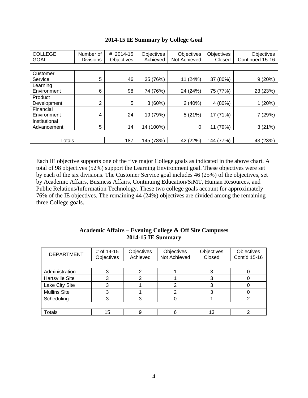| <b>COLLEGE</b><br><b>GOAL</b> | Number of<br><b>Divisions</b> | # 2014-15<br><b>Objectives</b> | Objectives<br>Achieved | Objectives<br>Not Achieved | Objectives<br>Closed | Objectives<br>Continued 15-16 |  |
|-------------------------------|-------------------------------|--------------------------------|------------------------|----------------------------|----------------------|-------------------------------|--|
|                               |                               |                                |                        |                            |                      |                               |  |
| Customer<br>Service           | 5                             | 46                             | 35 (76%)               | 11 (24%)                   | 37 (80%)             | 9(20%)                        |  |
| Learning<br>Environment       | 6                             | 98                             | 74 (76%)               | 24 (24%)                   | 75 (77%)             | 23 (23%)                      |  |
| Product<br>Development        | $\overline{2}$                | 5                              | 3(60%)                 | 2(40%)                     | 4 (80%)              | 1(20%)                        |  |
| Financial<br>Environment      | 4                             | 24                             | 19 (79%)               | 5(21%)                     | 17 (71%)             | 7 (29%)                       |  |
| Institutional<br>Advancement  | 5                             | 14                             | 14 (100%)              | 0                          | (79%)<br>11          | 3(21%)                        |  |
|                               |                               |                                |                        |                            |                      |                               |  |
| <b>Totals</b>                 |                               | 187                            | 145 (78%)              | 42 (22%)                   | 144 (77%)            | 43 (23%)                      |  |

### **2014-15 IE Summary by College Goal**

Each IE objective supports one of the five major College goals as indicated in the above chart. A total of 98 objectives (52%) support the Learning Environment goal. These objectives were set by each of the six divisions. The Customer Service goal includes 46 (25%) of the objectives, set by Academic Affairs, Business Affairs, Continuing Education/SiMT, Human Resources, and Public Relations/Information Technology. These two college goals account for approximately 76% of the IE objectives. The remaining 44 (24%) objectives are divided among the remaining three College goals.

| <b>Academic Affairs – Evening College &amp; Off Site Campuses</b> |
|-------------------------------------------------------------------|
| $2014 - 15$ IE Summary                                            |

| <b>DEPARTMENT</b>      | # of 14-15<br>Objectives | Objectives<br>Achieved | Objectives<br>Not Achieved | Objectives<br>Closed | Objectives<br>Cont'd 15-16 |  |
|------------------------|--------------------------|------------------------|----------------------------|----------------------|----------------------------|--|
|                        |                          |                        |                            |                      |                            |  |
| Administration         |                          |                        |                            |                      |                            |  |
| <b>Hartsville Site</b> |                          |                        |                            |                      |                            |  |
| Lake City Site         |                          |                        | 2                          |                      |                            |  |
| <b>Mullins Site</b>    |                          |                        | 2                          |                      |                            |  |
| Scheduling             |                          |                        |                            |                      |                            |  |
|                        |                          |                        |                            |                      |                            |  |
| Totals                 | 15                       |                        | 6                          | 13                   |                            |  |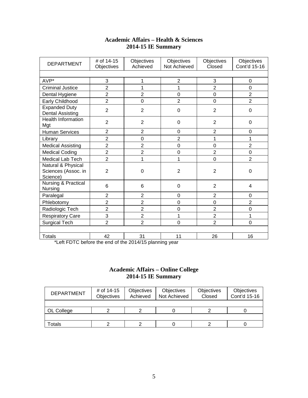| <b>Academic Affairs – Health &amp; Sciences</b> |
|-------------------------------------------------|
| <b>2014-15 IE Summary</b>                       |

| <b>DEPARTMENT</b>                                     | # of 14-15<br>Objectives | Objectives<br>Achieved | Objectives<br>Not Achieved | Objectives<br>Closed | Objectives<br>Cont'd 15-16 |  |  |
|-------------------------------------------------------|--------------------------|------------------------|----------------------------|----------------------|----------------------------|--|--|
|                                                       |                          |                        |                            |                      |                            |  |  |
| AVP*                                                  | 3                        | 1                      | $\overline{c}$             | 3                    | $\mathbf 0$                |  |  |
| <b>Criminal Justice</b>                               | $\overline{2}$           | 1                      | 1                          | $\overline{2}$       | $\mathbf 0$                |  |  |
| Dental Hygiene                                        | $\overline{2}$           | $\overline{2}$         | $\mathbf 0$                | $\overline{0}$       | $\overline{2}$             |  |  |
| Early Childhood                                       | $\overline{2}$           | $\mathbf 0$            | $\overline{2}$             | $\overline{0}$       | $\overline{2}$             |  |  |
| <b>Expanded Duty</b><br><b>Dental Assisting</b>       | $\overline{2}$           | $\overline{2}$         | 0                          | $\overline{2}$       | $\boldsymbol{0}$           |  |  |
| <b>Health Information</b><br>Mgt                      | $\overline{2}$           | $\overline{2}$         | $\mathbf 0$                | $\overline{2}$       | 0                          |  |  |
| <b>Human Services</b>                                 | $\overline{2}$           | $\overline{2}$         | 0                          | $\overline{2}$       | $\overline{0}$             |  |  |
| Library                                               | $\overline{2}$           | $\mathbf 0$            | $\overline{c}$             | 1                    | 1                          |  |  |
| <b>Medical Assisting</b>                              | $\overline{2}$           | $\overline{2}$         | $\mathbf 0$                | $\mathbf 0$          | $\overline{2}$             |  |  |
| <b>Medical Coding</b>                                 | $\overline{c}$           | $\overline{2}$         | $\boldsymbol{0}$           | $\overline{2}$       | $\mathbf 0$                |  |  |
| Medical Lab Tech                                      | $\overline{2}$           | 1                      | 1                          | $\overline{0}$       | $\overline{2}$             |  |  |
| Natural & Physical<br>Sciences (Assoc. in<br>Science) | $\overline{2}$           | $\Omega$               | $\overline{2}$             | $\overline{2}$       | $\Omega$                   |  |  |
| Nursing & Practical<br>Nursing                        | 6                        | 6                      | $\mathbf 0$                | $\overline{2}$       | 4                          |  |  |
| Paralegal                                             | $\overline{2}$           | $\overline{2}$         | $\Omega$                   | $\overline{2}$       | $\Omega$                   |  |  |
| Phlebotomy                                            | $\overline{c}$           | $\overline{2}$         | $\mathbf 0$                | $\overline{0}$       | $\overline{2}$             |  |  |
| Radiologic Tech                                       | $\overline{2}$           | $\overline{2}$         | $\mathbf 0$                | $\overline{2}$       | $\mathbf 0$                |  |  |
| <b>Respiratory Care</b>                               | 3                        | $\overline{2}$         | 1                          | $\overline{2}$       | 1                          |  |  |
| <b>Surgical Tech</b>                                  | $\overline{2}$           | $\overline{2}$         | $\mathbf 0$                | $\overline{2}$       | $\overline{0}$             |  |  |
|                                                       |                          |                        |                            |                      |                            |  |  |
| <b>Totals</b>                                         | 42                       | 31                     | 11                         | 26                   | 16                         |  |  |

\*Left FDTC before the end of the 2014/15 planning year

### **Academic Affairs – Online College 2014-15 IE Summary**

| <b>DEPARTMENT</b>  | # of 14-15<br>Objectives | Objectives<br>Achieved | Objectives<br>Not Achieved | Objectives<br>Closed | Objectives<br>Cont'd 15-16 |
|--------------------|--------------------------|------------------------|----------------------------|----------------------|----------------------------|
|                    |                          |                        |                            |                      |                            |
| OL College         |                          |                        |                            |                      |                            |
|                    |                          |                        |                            |                      |                            |
| otals <sup>.</sup> |                          |                        |                            |                      |                            |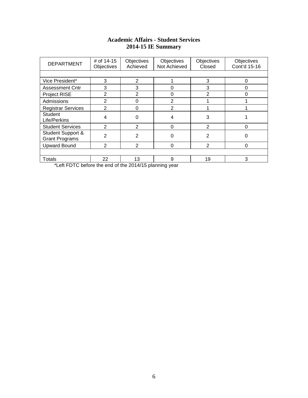### **Academic Affairs - Student Services 2014-15 IE Summary**

| <b>DEPARTMENT</b>                                                         | # of 14-15<br>Objectives | Objectives<br>Achieved | Objectives<br>Not Achieved | Objectives<br>Closed | Objectives<br>Cont'd 15-16 |  |  |  |  |
|---------------------------------------------------------------------------|--------------------------|------------------------|----------------------------|----------------------|----------------------------|--|--|--|--|
|                                                                           |                          |                        |                            |                      |                            |  |  |  |  |
| Vice President*                                                           | 3                        | 2                      |                            | 3                    | $\Omega$                   |  |  |  |  |
| <b>Assessment Cntr</b>                                                    | 3                        | 3                      | 0                          | 3                    | 0                          |  |  |  |  |
| Project RISE                                                              | $\overline{2}$           | $\overline{2}$         | 0                          | $\overline{2}$       | O                          |  |  |  |  |
| Admissions                                                                | 2                        | 0                      | $\overline{2}$             |                      |                            |  |  |  |  |
| <b>Registrar Services</b>                                                 | 2                        | 0                      |                            |                      |                            |  |  |  |  |
| <b>Student</b><br>Life/Perkins                                            | 4                        | 0                      | 4                          | 3                    |                            |  |  |  |  |
| <b>Student Services</b>                                                   | $\mathfrak{p}$           | $\overline{2}$         | $\Omega$                   | 2                    | $\Omega$                   |  |  |  |  |
| Student Support &<br><b>Grant Programs</b>                                | 2                        | 2                      | 0                          | 2                    |                            |  |  |  |  |
| <b>Upward Bound</b>                                                       | 2                        | $\overline{2}$         | 0                          | 2                    | 0                          |  |  |  |  |
|                                                                           |                          |                        |                            |                      |                            |  |  |  |  |
| Totals<br>$*1 - 44$ EBTO before the coal of the OO4 4/4E algorithm $\sim$ | 22                       | 13                     | 9                          | 19                   | 3                          |  |  |  |  |

\*Left FDTC before the end of the 2014/15 planning year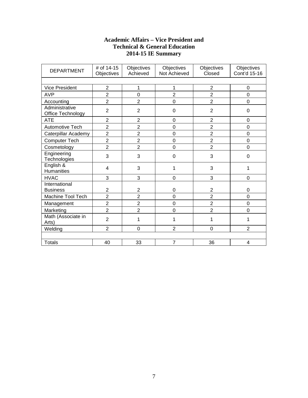## **Academic Affairs – Vice President and Technical & General Education 2014-15 IE Summary**

| <b>DEPARTMENT</b>                   | # of 14-15<br>Objectives | Objectives<br>Achieved | Objectives<br>Not Achieved | Objectives<br>Closed | Objectives<br>Cont'd 15-16 |  |  |  |
|-------------------------------------|--------------------------|------------------------|----------------------------|----------------------|----------------------------|--|--|--|
|                                     |                          |                        |                            |                      |                            |  |  |  |
| <b>Vice President</b>               | $\overline{2}$           | 1                      | 1                          | $\overline{2}$       | $\boldsymbol{0}$           |  |  |  |
| <b>AVP</b>                          | $\overline{2}$           | $\mathbf 0$            | $\overline{2}$             | $\overline{2}$       | 0                          |  |  |  |
| Accounting                          | $\overline{2}$           | $\overline{2}$         | 0                          | $\overline{2}$       | 0                          |  |  |  |
| Administrative<br>Office Technology | $\overline{2}$           | $\overline{2}$         | 0                          | $\overline{2}$       | 0                          |  |  |  |
| <b>ATE</b>                          | $\overline{2}$           | $\overline{2}$         | 0                          | $\overline{2}$       | 0                          |  |  |  |
| <b>Automotive Tech</b>              | $\overline{2}$           | $\overline{2}$         | 0                          | $\overline{2}$       | 0                          |  |  |  |
| Caterpillar Academy                 | $\overline{2}$           | $\overline{2}$         | 0                          | $\overline{2}$       | $\overline{0}$             |  |  |  |
| Computer Tech                       | $\overline{2}$           | $\overline{c}$         | 0                          | $\overline{2}$       | 0                          |  |  |  |
| Cosmetology                         | $\overline{2}$           | $\overline{2}$         | $\overline{0}$             | $\overline{2}$       | 0                          |  |  |  |
| Engineering<br>Technologies         | 3                        | 3                      | 0                          | 3                    | 0                          |  |  |  |
| English &<br>Humanities             | 4                        | 3                      | 1                          | 3                    | 1                          |  |  |  |
| <b>HVAC</b>                         | 3                        | 3                      | 0                          | 3                    | $\Omega$                   |  |  |  |
| International<br><b>Business</b>    | $\overline{\mathbf{c}}$  | $\mathbf 2$            | 0                          | $\overline{c}$       | 0                          |  |  |  |
| Machine Tool Tech                   | $\overline{2}$           | $\overline{2}$         | 0                          | $\overline{2}$       | 0                          |  |  |  |
| Management                          | $\overline{2}$           | $\overline{2}$         | 0                          | $\overline{2}$       | 0                          |  |  |  |
| Marketing                           | $\overline{2}$           | $\overline{2}$         | 0                          | $\overline{2}$       | 0                          |  |  |  |
| Math (Associate in<br>Arts)         | $\overline{2}$           | 1                      | 1                          | 1                    | 1                          |  |  |  |
| Welding                             | $\overline{2}$           | $\mathbf 0$            | $\overline{2}$             | $\mathbf 0$          | $\overline{2}$             |  |  |  |
|                                     |                          |                        |                            |                      |                            |  |  |  |
| <b>Totals</b>                       | 40                       | 33                     | $\overline{7}$             | 36                   | 4                          |  |  |  |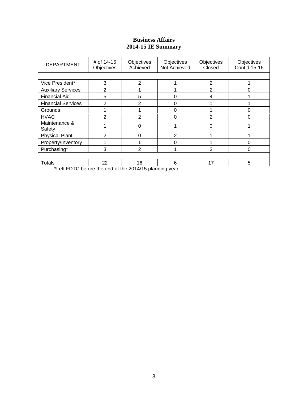# **Business Affairs 2014-15 IE Summary**

| <b>DEPARTMENT</b>         | # of 14-15<br>Objectives | Objectives<br>Achieved | Objectives<br>Not Achieved | Objectives<br>Closed | Objectives<br>Cont'd 15-16 |
|---------------------------|--------------------------|------------------------|----------------------------|----------------------|----------------------------|
|                           |                          |                        |                            |                      |                            |
| Vice President*           | 3                        | $\mathfrak{p}$         |                            | $\overline{2}$       |                            |
| <b>Auxiliary Services</b> | $\mathfrak{p}$           |                        |                            | 2                    |                            |
| <b>Financial Aid</b>      | 5                        | 5                      | 0                          | 4                    |                            |
| <b>Financial Services</b> | 2                        | $\overline{2}$         | 0                          |                      |                            |
| Grounds                   |                          |                        | 0                          |                      | 0                          |
| <b>HVAC</b>               | $\mathcal{P}$            | $\mathcal{P}$          | 0                          | $\mathfrak{p}$       | 0                          |
| Maintenance &<br>Safety   |                          | $\Omega$               |                            |                      |                            |
| <b>Physical Plant</b>     | っ                        | $\Omega$               | 2                          |                      |                            |
| Property/Inventory        |                          |                        | O                          |                      | ი                          |
| Purchasing*               | 3                        | $\overline{2}$         |                            | 3                    | 0                          |
|                           |                          |                        |                            |                      |                            |
| Totals                    | 22                       | 16                     | 6                          | 17                   | 5                          |

\*Left FDTC before the end of the 2014/15 planning year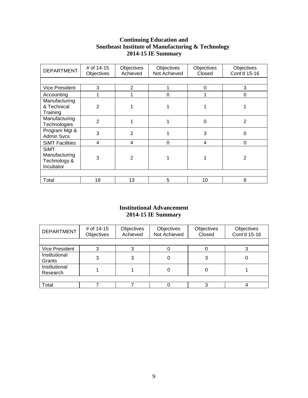## **Continuing Education and Southeast Institute of Manufacturing & Technology 2014-15 IE Summary**

| <b>DEPARTMENT</b>                                         | # of 14-15<br>Objectives | Objectives<br>Achieved | <b>Objectives</b><br>Not Achieved | Objectives<br>Closed | Objectives<br>Cont'd 15-16 |
|-----------------------------------------------------------|--------------------------|------------------------|-----------------------------------|----------------------|----------------------------|
|                                                           |                          |                        |                                   |                      |                            |
| <b>Vice President</b>                                     | 3                        | $\overline{2}$         |                                   | $\Omega$             | 3                          |
| Accounting                                                |                          |                        | 0                                 |                      | 0                          |
| Manufacturing<br>& Technical<br>Training                  | $\overline{2}$           |                        |                                   |                      |                            |
| Manufacturing<br>Technologies                             | $\mathbf{2}$             |                        |                                   | 0                    | $\overline{2}$             |
| Program Mgt &<br><b>Admin Svcs</b>                        | 3                        | 2                      |                                   | 3                    | $\Omega$                   |
| <b>SIMT Facilities</b>                                    | $\overline{\mathbf{4}}$  | 4                      | 0                                 | 4                    | 0                          |
| <b>SiMT</b><br>Manufacturing<br>Technology &<br>Incubator | 3                        | $\overline{2}$         |                                   |                      | $\overline{2}$             |
|                                                           |                          |                        |                                   |                      |                            |
| Total                                                     | 18                       | 13                     | 5                                 | 10                   | 8                          |

## **Institutional Advancement 2014-15 IE Summary**

| <b>DEPARTMENT</b>         | # of 14-15<br>Objectives | Objectives<br>Achieved | Objectives<br>Not Achieved | Objectives<br>Closed | Objectives<br>Cont'd 15-16 |
|---------------------------|--------------------------|------------------------|----------------------------|----------------------|----------------------------|
|                           |                          |                        |                            |                      |                            |
| <b>Vice President</b>     |                          |                        |                            |                      |                            |
| Institutional<br>Grants   | 3                        | 3                      |                            | 3                    |                            |
| Institutional<br>Research |                          |                        |                            |                      |                            |
|                           |                          |                        |                            |                      |                            |
| Total                     |                          |                        |                            |                      |                            |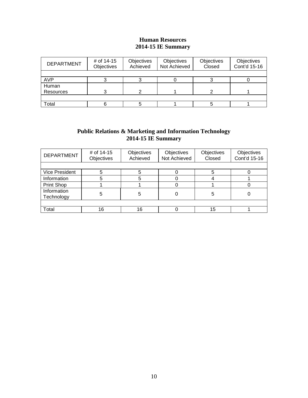### **Human Resources 2014-15 IE Summary**

| <b>DEPARTMENT</b> | # of 14-15<br>Objectives | Objectives<br>Achieved | Objectives<br>Not Achieved | Objectives<br>Closed | Objectives<br>Cont'd 15-16 |
|-------------------|--------------------------|------------------------|----------------------------|----------------------|----------------------------|
|                   |                          |                        |                            |                      |                            |
| <b>AVP</b>        |                          |                        |                            |                      |                            |
| Human             |                          |                        |                            |                      |                            |
| Resources         |                          |                        |                            | ◠                    |                            |
|                   |                          |                        |                            |                      |                            |
| Total             |                          |                        |                            |                      |                            |

### **Public Relations & Marketing and Information Technology 2014-15 IE Summary**

| <b>DEPARTMENT</b>         | # of 14-15<br>Objectives | Objectives<br>Achieved | Objectives<br>Not Achieved | Objectives<br>Closed | Objectives<br>Cont'd 15-16 |  |
|---------------------------|--------------------------|------------------------|----------------------------|----------------------|----------------------------|--|
|                           |                          |                        |                            |                      |                            |  |
| <b>Vice President</b>     | 5                        | 5                      |                            |                      |                            |  |
| Information               | 5                        | 5                      |                            |                      |                            |  |
| Print Shop                |                          |                        |                            |                      |                            |  |
| Information<br>Technology | 5                        | 5                      |                            | 5                    |                            |  |
|                           |                          |                        |                            |                      |                            |  |
| Total                     | 16                       | 16                     |                            | 15                   |                            |  |